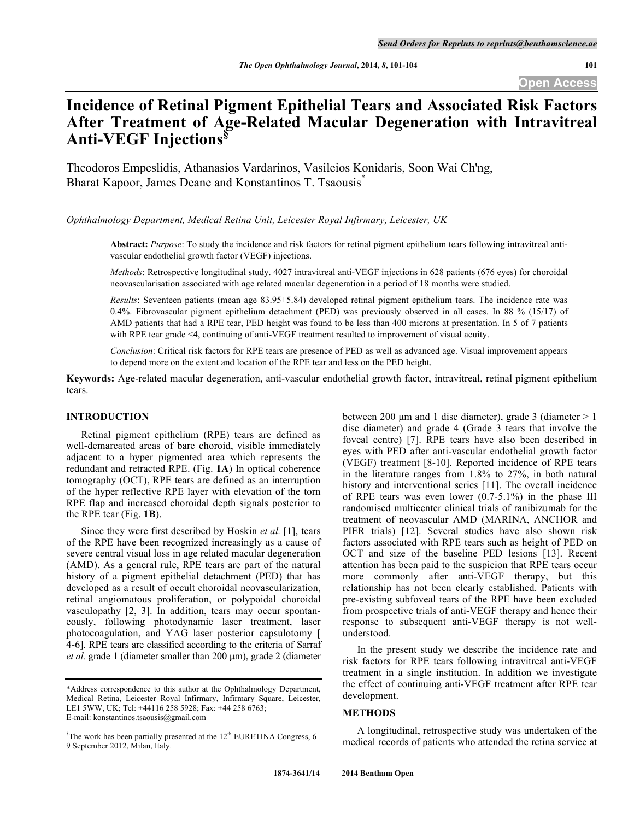# **Incidence of Retinal Pigment Epithelial Tears and Associated Risk Factors After Treatment of Age-Related Macular Degeneration with Intravitreal Anti-VEGF Injections§**

Theodoros Empeslidis, Athanasios Vardarinos, Vasileios Konidaris, Soon Wai Ch'ng, Bharat Kapoor, James Deane and Konstantinos T. Tsaousis<sup>\*</sup>

*Ophthalmology Department, Medical Retina Unit, Leicester Royal Infirmary, Leicester, UK*

**Abstract:** *Purpose*: To study the incidence and risk factors for retinal pigment epithelium tears following intravitreal antivascular endothelial growth factor (VEGF) injections.

*Methods*: Retrospective longitudinal study. 4027 intravitreal anti-VEGF injections in 628 patients (676 eyes) for choroidal neovascularisation associated with age related macular degeneration in a period of 18 months were studied.

*Results*: Seventeen patients (mean age 83.95±5.84) developed retinal pigment epithelium tears. The incidence rate was 0.4%. Fibrovascular pigment epithelium detachment (PED) was previously observed in all cases. In 88 % (15/17) of AMD patients that had a RPE tear, PED height was found to be less than 400 microns at presentation. In 5 of 7 patients with RPE tear grade  $\leq 4$ , continuing of anti-VEGF treatment resulted to improvement of visual acuity.

*Conclusion*: Critical risk factors for RPE tears are presence of PED as well as advanced age. Visual improvement appears to depend more on the extent and location of the RPE tear and less on the PED height.

**Keywords:** Age-related macular degeneration, anti-vascular endothelial growth factor, intravitreal, retinal pigment epithelium tears.

## **INTRODUCTION**

Retinal pigment epithelium (RPE) tears are defined as well-demarcated areas of bare choroid, visible immediately adjacent to a hyper pigmented area which represents the redundant and retracted RPE. (Fig. **1A**) In optical coherence tomography (OCT), RPE tears are defined as an interruption of the hyper reflective RPE layer with elevation of the torn RPE flap and increased choroidal depth signals posterior to the RPE tear (Fig. **1B**).

Since they were first described by Hoskin *et al.* [1], tears of the RPE have been recognized increasingly as a cause of severe central visual loss in age related macular degeneration (AMD). As a general rule, RPE tears are part of the natural history of a pigment epithelial detachment (PED) that has developed as a result of occult choroidal neovascularization, retinal angiomatous proliferation, or polypoidal choroidal vasculopathy [2, 3]. In addition, tears may occur spontaneously, following photodynamic laser treatment, laser photocoagulation, and YAG laser posterior capsulotomy [ 4-6]. RPE tears are classified according to the criteria of Sarraf *et al.* grade 1 (diameter smaller than 200 µm), grade 2 (diameter between 200  $\mu$ m and 1 disc diameter), grade 3 (diameter  $> 1$ disc diameter) and grade 4 (Grade 3 tears that involve the foveal centre) [7]. RPE tears have also been described in eyes with PED after anti-vascular endothelial growth factor (VEGF) treatment [8-10]. Reported incidence of RPE tears in the literature ranges from 1.8% to 27%, in both natural history and interventional series [11]. The overall incidence of RPE tears was even lower  $(0.7-5.1\%)$  in the phase III randomised multicenter clinical trials of ranibizumab for the treatment of neovascular AMD (MARINA, ANCHOR and PIER trials) [12]. Several studies have also shown risk factors associated with RPE tears such as height of PED on OCT and size of the baseline PED lesions [13]. Recent attention has been paid to the suspicion that RPE tears occur more commonly after anti-VEGF therapy, but this relationship has not been clearly established. Patients with pre-existing subfoveal tears of the RPE have been excluded from prospective trials of anti-VEGF therapy and hence their response to subsequent anti-VEGF therapy is not wellunderstood.

In the present study we describe the incidence rate and risk factors for RPE tears following intravitreal anti-VEGF treatment in a single institution. In addition we investigate the effect of continuing anti-VEGF treatment after RPE tear development.

#### **METHODS**

A longitudinal, retrospective study was undertaken of the medical records of patients who attended the retina service at

<sup>\*</sup>Address correspondence to this author at the Ophthalmology Department, Medical Retina, Leicester Royal Infirmary, Infirmary Square, Leicester, LE1 5WW, UK; Tel: +44116 258 5928; Fax: +44 258 6763; E-mail: konstantinos.tsaousis@gmail.com

 ${}^{\S}$ The work has been partially presented at the 12<sup>th</sup> EURETINA Congress, 6– 9 September 2012, Milan, Italy.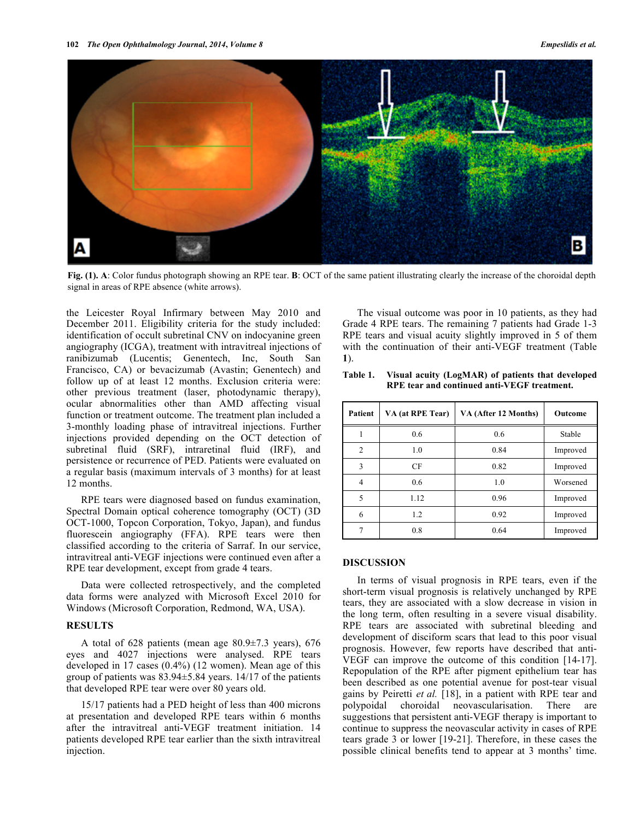

**Fig. (1). A**: Color fundus photograph showing an RPE tear. **B**: OCT of the same patient illustrating clearly the increase of the choroidal depth signal in areas of RPE absence (white arrows).

the Leicester Royal Infirmary between May 2010 and December 2011. Eligibility criteria for the study included: identification of occult subretinal CNV on indocyanine green angiography (ICGA), treatment with intravitreal injections of ranibizumab (Lucentis; Genentech, Inc, South San Francisco, CA) or bevacizumab (Avastin; Genentech) and follow up of at least 12 months. Exclusion criteria were: other previous treatment (laser, photodynamic therapy), ocular abnormalities other than AMD affecting visual function or treatment outcome. The treatment plan included a 3-monthly loading phase of intravitreal injections. Further injections provided depending on the OCT detection of subretinal fluid (SRF), intraretinal fluid (IRF), and persistence or recurrence of PED. Patients were evaluated on a regular basis (maximum intervals of 3 months) for at least 12 months.

RPE tears were diagnosed based on fundus examination, Spectral Domain optical coherence tomography (OCT) (3D OCT-1000, Topcon Corporation, Tokyo, Japan), and fundus fluorescein angiography (FFA). RPE tears were then classified according to the criteria of Sarraf. In our service, intravitreal anti-VEGF injections were continued even after a RPE tear development, except from grade 4 tears.

Data were collected retrospectively, and the completed data forms were analyzed with Microsoft Excel 2010 for Windows (Microsoft Corporation, Redmond, WA, USA).

## **RESULTS**

A total of 628 patients (mean age 80.9±7.3 years), 676 eyes and 4027 injections were analysed. RPE tears developed in 17 cases (0.4%) (12 women). Mean age of this group of patients was 83.94±5.84 years. 14/17 of the patients that developed RPE tear were over 80 years old.

15/17 patients had a PED height of less than 400 microns at presentation and developed RPE tears within 6 months after the intravitreal anti-VEGF treatment initiation. 14 patients developed RPE tear earlier than the sixth intravitreal injection.

The visual outcome was poor in 10 patients, as they had Grade 4 RPE tears. The remaining 7 patients had Grade 1-3 RPE tears and visual acuity slightly improved in 5 of them with the continuation of their anti-VEGF treatment (Table **1**).

| <b>Patient</b> | VA (at RPE Tear) | VA (After 12 Months) | Outcome  |
|----------------|------------------|----------------------|----------|
|                | 0.6              | 0.6                  | Stable   |
| 2              | 1.0              | 0.84                 | Improved |
| 3              | CF               | 0.82                 | Improved |
| 4              | 0.6              | 1.0                  | Worsened |
| 5              | 1.12             | 0.96                 | Improved |
| 6              | 1.2              | 0.92                 | Improved |
|                | 0.8              | 0.64                 | Improved |

| Table 1. | Visual acuity (LogMAR) of patients that developed |  |
|----------|---------------------------------------------------|--|
|          | RPE tear and continued anti-VEGF treatment.       |  |

#### **DISCUSSION**

In terms of visual prognosis in RPE tears, even if the short-term visual prognosis is relatively unchanged by RPE tears, they are associated with a slow decrease in vision in the long term, often resulting in a severe visual disability. RPE tears are associated with subretinal bleeding and development of disciform scars that lead to this poor visual prognosis. However, few reports have described that anti-VEGF can improve the outcome of this condition [14-17]. Repopulation of the RPE after pigment epithelium tear has been described as one potential avenue for post-tear visual gains by Peiretti *et al.* [18], in a patient with RPE tear and polypoidal choroidal neovascularisation. There are suggestions that persistent anti-VEGF therapy is important to continue to suppress the neovascular activity in cases of RPE tears grade 3 or lower [19-21]. Therefore, in these cases the possible clinical benefits tend to appear at 3 months' time.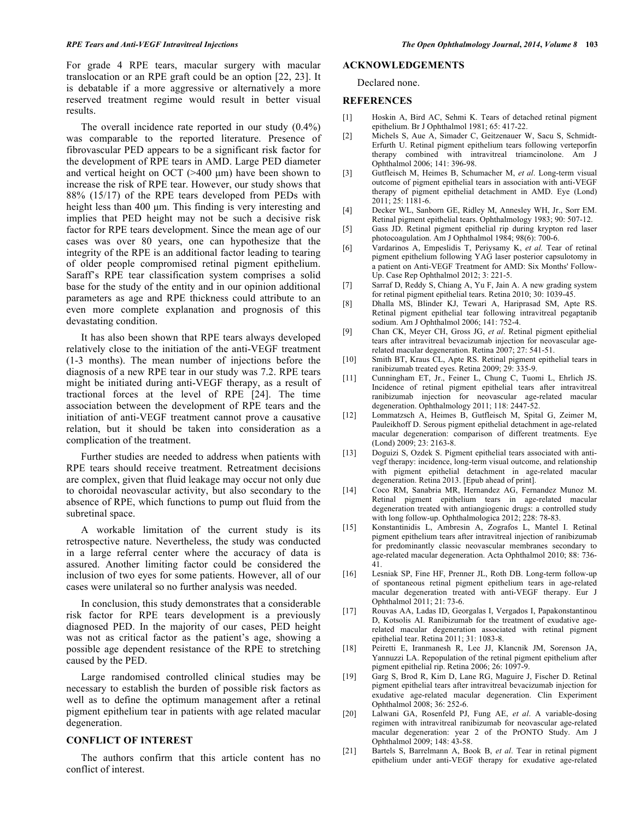For grade 4 RPE tears, macular surgery with macular translocation or an RPE graft could be an option [22, 23]. It is debatable if a more aggressive or alternatively a more reserved treatment regime would result in better visual results.

The overall incidence rate reported in our study (0.4%) was comparable to the reported literature. Presence of fibrovascular PED appears to be a significant risk factor for the development of RPE tears in AMD. Large PED diameter and vertical height on OCT ( $>400 \mu m$ ) have been shown to increase the risk of RPE tear. However, our study shows that 88% (15/17) of the RPE tears developed from PEDs with height less than 400 µm. This finding is very interesting and implies that PED height may not be such a decisive risk factor for RPE tears development. Since the mean age of our cases was over 80 years, one can hypothesize that the integrity of the RPE is an additional factor leading to tearing of older people compromised retinal pigment epithelium. Saraff's RPE tear classification system comprises a solid base for the study of the entity and in our opinion additional parameters as age and RPE thickness could attribute to an even more complete explanation and prognosis of this devastating condition.

It has also been shown that RPE tears always developed relatively close to the initiation of the anti-VEGF treatment (1-3 months). The mean number of injections before the diagnosis of a new RPE tear in our study was 7.2. RPE tears might be initiated during anti-VEGF therapy, as a result of tractional forces at the level of RPE [24]. The time association between the development of RPE tears and the initiation of anti-VEGF treatment cannot prove a causative relation, but it should be taken into consideration as a complication of the treatment.

Further studies are needed to address when patients with RPE tears should receive treatment. Retreatment decisions are complex, given that fluid leakage may occur not only due to choroidal neovascular activity, but also secondary to the absence of RPE, which functions to pump out fluid from the subretinal space.

A workable limitation of the current study is its retrospective nature. Nevertheless, the study was conducted in a large referral center where the accuracy of data is assured. Another limiting factor could be considered the inclusion of two eyes for some patients. However, all of our cases were unilateral so no further analysis was needed.

In conclusion, this study demonstrates that a considerable risk factor for RPE tears development is a previously diagnosed PED. In the majority of our cases, PED height was not as critical factor as the patient's age, showing a possible age dependent resistance of the RPE to stretching caused by the PED.

Large randomised controlled clinical studies may be necessary to establish the burden of possible risk factors as well as to define the optimum management after a retinal pigment epithelium tear in patients with age related macular degeneration.

## **CONFLICT OF INTEREST**

The authors confirm that this article content has no conflict of interest.

## **ACKNOWLEDGEMENTS**

Declared none.

## **REFERENCES**

- [1] Hoskin A, Bird AC, Sehmi K. Tears of detached retinal pigment epithelium. Br J Ophthalmol 1981; 65: 417-22.
- [2] Michels S, Aue A, Simader C, Geitzenauer W, Sacu S, Schmidt-Erfurth U. Retinal pigment epithelium tears following verteporfin therapy combined with intravitreal triamcinolone. Am J Ophthalmol 2006; 141: 396-98.
- [3] Gutfleisch M, Heimes B, Schumacher M, *et al*. Long-term visual outcome of pigment epithelial tears in association with anti-VEGF therapy of pigment epithelial detachment in AMD. Eye (Lond) 2011; 25: 1181-6.
- [4] Decker WL, Sanborn GE, Ridley M, Annesley WH, Jr., Sorr EM. Retinal pigment epithelial tears. Ophthalmology 1983; 90: 507-12.
- [5] Gass JD. Retinal pigment epithelial rip during krypton red laser photocoagulation. Am J Ophthalmol 1984; 98 $(6)$ : 700-6.
- [6] Vardarinos A, Empeslidis T, Periysamy K, *et al.* Tear of retinal pigment epithelium following YAG laser posterior capsulotomy in a patient on Anti-VEGF Treatment for AMD: Six Months' Follow-Up. Case Rep Ophthalmol 2012; 3: 221-5.
- [7] Sarraf D, Reddy S, Chiang A, Yu F, Jain A. A new grading system for retinal pigment epithelial tears. Retina 2010; 30: 1039-45.
- [8] Dhalla MS, Blinder KJ, Tewari A, Hariprasad SM, Apte RS. Retinal pigment epithelial tear following intravitreal pegaptanib sodium. Am J Ophthalmol 2006; 141: 752-4.
- [9] Chan CK, Meyer CH, Gross JG, *et al*. Retinal pigment epithelial tears after intravitreal bevacizumab injection for neovascular agerelated macular degeneration. Retina 2007; 27: 541-51.
- [10] Smith BT, Kraus CL, Apte RS. Retinal pigment epithelial tears in ranibizumab treated eyes. Retina 2009; 29: 335-9.
- [11] Cunningham ET, Jr., Feiner L, Chung C, Tuomi L, Ehrlich JS. Incidence of retinal pigment epithelial tears after intravitreal ranibizumab injection for neovascular age-related macular degeneration. Ophthalmology 2011; 118: 2447-52.
- [12] Lommatzsch A, Heimes B, Gutfleisch M, Spital G, Zeimer M, Pauleikhoff D. Serous pigment epithelial detachment in age-related macular degeneration: comparison of different treatments. Eye (Lond) 2009; 23: 2163-8.
- [13] Doguizi S, Ozdek S. Pigment epithelial tears associated with antivegf therapy: incidence, long-term visual outcome, and relationship with pigment epithelial detachment in age-related macular degeneration. Retina 2013. [Epub ahead of print].
- [14] Coco RM, Sanabria MR, Hernandez AG, Fernandez Munoz M. Retinal pigment epithelium tears in age-related macular degeneration treated with antiangiogenic drugs: a controlled study with long follow-up. Ophthalmologica 2012; 228: 78-83.
- [15] Konstantinidis L, Ambresin A, Zografos L, Mantel I. Retinal pigment epithelium tears after intravitreal injection of ranibizumab for predominantly classic neovascular membranes secondary to age-related macular degeneration. Acta Ophthalmol 2010; 88: 736- 41.
- [16] Lesniak SP, Fine HF, Prenner JL, Roth DB. Long-term follow-up of spontaneous retinal pigment epithelium tears in age-related macular degeneration treated with anti-VEGF therapy. Eur J Ophthalmol 2011; 21: 73-6.
- [17] Rouvas AA, Ladas ID, Georgalas I, Vergados I, Papakonstantinou D, Kotsolis AI. Ranibizumab for the treatment of exudative agerelated macular degeneration associated with retinal pigment epithelial tear. Retina 2011; 31: 1083-8.
- [18] Peiretti E, Iranmanesh R, Lee JJ, Klancnik JM, Sorenson JA, Yannuzzi LA. Repopulation of the retinal pigment epithelium after pigment epithelial rip. Retina 2006; 26: 1097-9.
- [19] Garg S, Brod R, Kim D, Lane RG, Maguire J, Fischer D. Retinal pigment epithelial tears after intravitreal bevacizumab injection for exudative age-related macular degeneration. Clin Experiment Ophthalmol 2008; 36: 252-6.
- [20] Lalwani GA, Rosenfeld PJ, Fung AE, *et al*. A variable-dosing regimen with intravitreal ranibizumab for neovascular age-related macular degeneration: year 2 of the PrONTO Study. Am J Ophthalmol 2009; 148: 43-58.
- [21] Bartels S, Barrelmann A, Book B, *et al*. Tear in retinal pigment epithelium under anti-VEGF therapy for exudative age-related